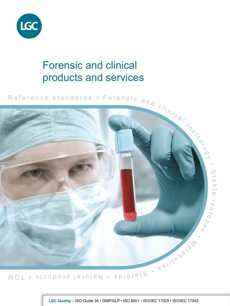

# Forensic and clinical products and services



**LGC Quality –** ISO Guide 34 • GMP/GLP • ISO 9001 • ISO/IEC 17025 • ISO/IEC 17043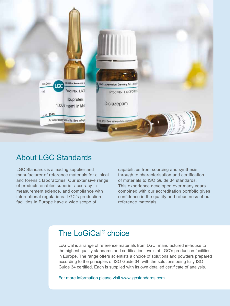

### About LGC Standards

LGC Standards is a leading supplier and manufacturer of reference materials for clinical and forensic laboratories. Our extensive range of products enables superior accuracy in measurement science, and compliance with international regulations. LGC's production facilities in Europe have a wide scope of

capabilities from sourcing and synthesis through to characterisation and certification of materials to ISO Guide 34 standards. This experience developed over many years combined with our accreditation portfolio gives confidence in the quality and robustness of our reference materials.

## The LoGiCal® choice

LoGiCal is a range of reference materials from LGC, manufactured in-house to the highest quality standards and certification levels at LGC's production facilities in Europe. The range offers scientists a choice of solutions and powders prepared according to the principles of ISO Guide 34, with the solutions being fully ISO Guide 34 certified. Each is supplied with its own detailed certificate of analysis.

For more information please visit www.lgcstandards.com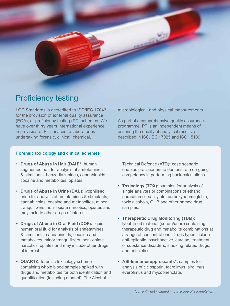

### Proficiency testing

LGC Standards is accredited to ISO/IEC 17043 for the provision of external quality assurance (EQA), or proficiency testing (PT) schemes. We have over thirty years international experience in provision of PT services to laboratories undertaking forensic, clinical, chemical,

microbiological, and physical measurements.

As part of a comprehensive quality assurance programme, PT is an independent means of assuring the quality of analytical results, as described in ISO/IEC 17025 and ISO 15189.

#### **Forensic toxicology and clinical schemes**

- **• Drugs of Abuse in Hair (DAH)\*:** human segmented hair for analysis of amfetamines & stimulants, benzodiazepines, cannabinoids, cocaine and metabolites, opiates
- **• Drugs of Abuse in Urine (DAU):** lyophilised urine for analysis of amfetamines & stimulants, cannabinoids, cocaine and metabolites, minor tranquillizers, non- opiate narcotics, opiates and may include other drugs of interest
- **• Drugs of Abuse in Oral Fluid (DOF):** liquid human oral fluid for analysis of amfetamines & stimulants, cannabinoids, cocaine and metabolites, minor tranquillizers, non- opiate narcotics, opiates and may include other drugs of interest
- **• QUARTZ:** forensic toxicology scheme containing whole blood samples spiked with drugs and metabolites for both identification and quantification (including ethanol). The Alcohol

Technical Defence (ATD)\* case scenario enables practitioners to demonstrate on-going competency in performing back-calculations.

- **• Toxicology (TOX):** samples for analysis of single analytes or combinations of ethanol, paracetamol, salicylate, carboxyhaemoglobin, toxic alcohols, GHB and other named drug samples.
- **• Therapeutic Drug Monitoring (TDM):** lyophilised material (serum/urine) containing therapeutic drug and metabolite combinations at a range of concentrations. Drugs types include anti-epileptic, psychoactive, cardiac, treatment of substance disorders, smoking related drugs, and antibiotics.
- **• ASI-Immunosuppressants\*:** samples for analysis of ciclosporin, tacrolimus, sirolimus, everolimus and mycophenolate.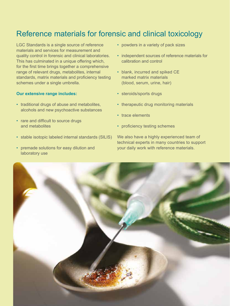### Reference materials for forensic and clinical toxicology

LGC Standards is a single source of reference materials and services for measurement and quality control in forensic and clinical laboratories. This has culminated in a unique offering which, for the first time brings together a comprehensive range of relevant drugs, metabolites, internal standards, matrix materials and proficiency testing schemes under a single umbrella.

#### **Our extensive range includes:**

- traditional drugs of abuse and metabolites, alcohols and new psychoactive substances
- rare and difficult to source drugs and metabolites
- stable isotopic labeled internal standards (SILIS)
- premade solutions for easy dilution and laboratory use
- powders in a variety of pack sizes
- independent sources of reference materials for calibration and control
- blank, incurred and spiked CE marked matrix materials (blood, serum, urine, hair)
- steroids/sports drugs
- therapeutic drug monitoring materials
- trace elements
- proficiency testing schemes

We also have a highly experienced team of technical experts in many countries to support your daily work with reference materials.

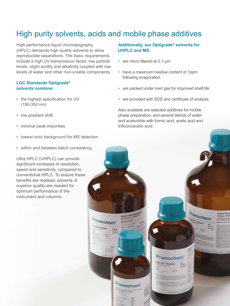## High purity solvents, acids and mobile phase additives

High performance liquid chromatography (HPLC) demands high quality solvents to allow reproducible separations. The basic requirements include a high UV-transmission factor, low particle levels, slight acidity and alkalinity coupled with low levels of water and other non-volatile components.

#### **LGC Standards Optigrade® solvents combine:**

- the highest specification for UV (190-350 nm)
- low gradient shift
- minimal peak impurities
- lowest ionic background for MS detection
- within and between batch consistency

Ultra HPLC (UHPLC) can provide significant increases in resolution, speed and sensitivity, compared to conventional HPLC. To ensure these benefits are realised, solvents of superior quality are needed for optimum performance of the instrument and columns.

#### **Additionally, our Optigrade® solvents for UHPLC and MS:**

- are micro filtered at 0.1 μm
- have a maximum residue content of 1ppm following evaporation
- are packed under inert gas for improved shelf life
- are provided with SDS and certificate of analysis

Also available are selected additives for mobile phase preparation, and several blends of water and acetonitrile with formic acid, acetic acid and trifluoroacetic acid.